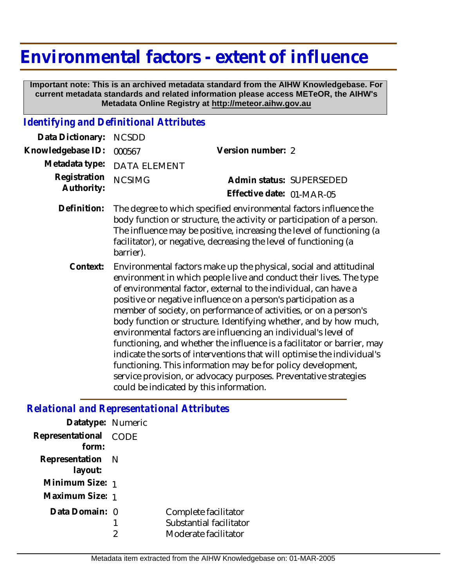## **Environmental factors - extent of influence**

 **Important note: This is an archived metadata standard from the AIHW Knowledgebase. For current metadata standards and related information please access METeOR, the AIHW's Metadata Online Registry at http://meteor.aihw.gov.au**

## *Identifying and Definitional Attributes*

| Data Dictionary:           | <b>NCSDD</b>                                                                                                                                                                                                                                                                                                                                                                                                                                                                                                                                                                                                                                                                                                                                                                                                                    |                           |  |
|----------------------------|---------------------------------------------------------------------------------------------------------------------------------------------------------------------------------------------------------------------------------------------------------------------------------------------------------------------------------------------------------------------------------------------------------------------------------------------------------------------------------------------------------------------------------------------------------------------------------------------------------------------------------------------------------------------------------------------------------------------------------------------------------------------------------------------------------------------------------|---------------------------|--|
| Knowledgebase ID:          | 000567                                                                                                                                                                                                                                                                                                                                                                                                                                                                                                                                                                                                                                                                                                                                                                                                                          | Version number: 2         |  |
| Metadata type:             | <b>DATA ELEMENT</b>                                                                                                                                                                                                                                                                                                                                                                                                                                                                                                                                                                                                                                                                                                                                                                                                             |                           |  |
| Registration<br>Authority: | <b>NCSIMG</b>                                                                                                                                                                                                                                                                                                                                                                                                                                                                                                                                                                                                                                                                                                                                                                                                                   | Admin status: SUPERSEDED  |  |
|                            |                                                                                                                                                                                                                                                                                                                                                                                                                                                                                                                                                                                                                                                                                                                                                                                                                                 | Effective date: 01-MAR-05 |  |
| Definition:                | The degree to which specified environmental factors influence the<br>body function or structure, the activity or participation of a person.<br>The influence may be positive, increasing the level of functioning (a<br>facilitator), or negative, decreasing the level of functioning (a<br>barrier).                                                                                                                                                                                                                                                                                                                                                                                                                                                                                                                          |                           |  |
| Context:                   | Environmental factors make up the physical, social and attitudinal<br>environment in which people live and conduct their lives. The type<br>of environmental factor, external to the individual, can have a<br>positive or negative influence on a person's participation as a<br>member of society, on performance of activities, or on a person's<br>body function or structure. Identifying whether, and by how much,<br>environmental factors are influencing an individual's level of<br>functioning, and whether the influence is a facilitator or barrier, may<br>indicate the sorts of interventions that will optimise the individual's<br>functioning. This information may be for policy development,<br>service provision, or advocacy purposes. Preventative strategies<br>could be indicated by this information. |                           |  |

## *Relational and Representational Attributes*

| Datatype: Numeric           |             |                                                                         |
|-----------------------------|-------------|-------------------------------------------------------------------------|
| Representational<br>form:   | <b>CODE</b> |                                                                         |
| Representation N<br>layout: |             |                                                                         |
| Minimum Size: 1             |             |                                                                         |
| Maximum Size: 1             |             |                                                                         |
| Data Domain: 0              |             | Complete facilitator<br>Substantial facilitator<br>Moderate facilitator |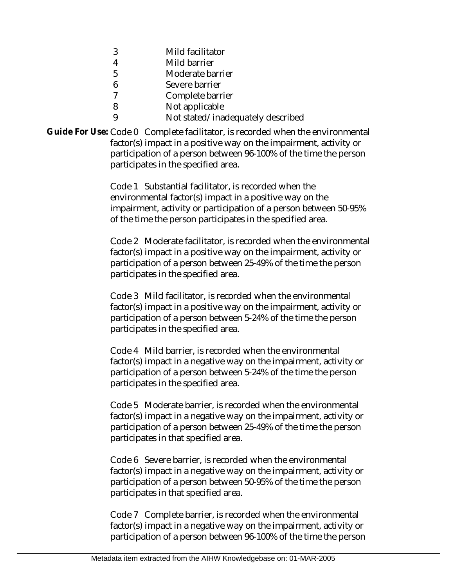- 3 Mild facilitator
- 4 Mild barrier
- 5 Moderate barrier
- 6 Severe barrier
- 7 Complete barrier
- 8 Not applicable
- 9 Not stated/inadequately described

Guide For Use: Code 0 Complete facilitator, is recorded when the environmental factor(s) impact in a positive way on the impairment, activity or participation of a person between 96-100% of the time the person participates in the specified area.

> Code 1 Substantial facilitator, is recorded when the environmental factor(s) impact in a positive way on the impairment, activity or participation of a person between 50-95% of the time the person participates in the specified area.

Code 2 Moderate facilitator, is recorded when the environmental factor(s) impact in a positive way on the impairment, activity or participation of a person between 25-49% of the time the person participates in the specified area.

Code 3 Mild facilitator, is recorded when the environmental factor(s) impact in a positive way on the impairment, activity or participation of a person between 5-24% of the time the person participates in the specified area.

Code 4 Mild barrier, is recorded when the environmental factor(s) impact in a negative way on the impairment, activity or participation of a person between 5-24% of the time the person participates in the specified area.

Code 5 Moderate barrier, is recorded when the environmental factor(s) impact in a negative way on the impairment, activity or participation of a person between 25-49% of the time the person participates in that specified area.

Code 6 Severe barrier, is recorded when the environmental factor(s) impact in a negative way on the impairment, activity or participation of a person between 50-95% of the time the person participates in that specified area.

Code 7 Complete barrier, is recorded when the environmental factor(s) impact in a negative way on the impairment, activity or participation of a person between 96-100% of the time the person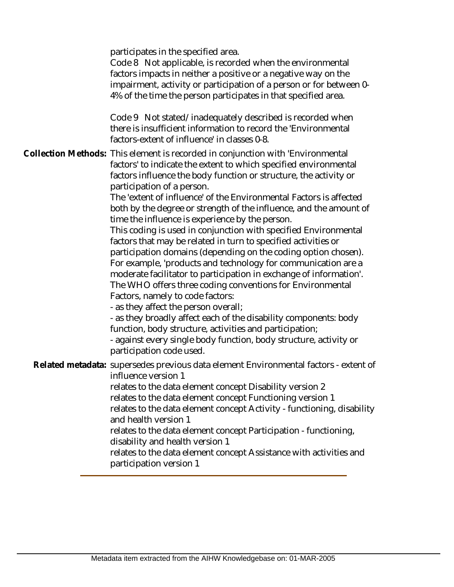participates in the specified area. Code 8 Not applicable, is recorded when the environmental factors impacts in neither a positive or a negative way on the impairment, activity or participation of a person or for between 0- 4% of the time the person participates in that specified area. Code 9 Not stated/inadequately described is recorded when there is insufficient information to record the 'Environmental factors-extent of influence' in classes 0-8. Collection Methods: This element is recorded in conjunction with 'Environmental factors' to indicate the extent to which specified environmental factors influence the body function or structure, the activity or participation of a person. The 'extent of influence' of the Environmental Factors is affected both by the degree or strength of the influence, and the amount of time the influence is experience by the person. This coding is used in conjunction with specified Environmental factors that may be related in turn to specified activities or participation domains (depending on the coding option chosen). For example, 'products and technology for communication are a moderate facilitator to participation in exchange of information'. The WHO offers three coding conventions for Environmental Factors, namely to code factors: - as they affect the person overall; - as they broadly affect each of the disability components: body function, body structure, activities and participation; - against every single body function, body structure, activity or participation code used. Related metadata: supersedes previous data element Environmental factors - extent of influence version 1 relates to the data element concept Disability version 2 relates to the data element concept Functioning version 1 relates to the data element concept Activity - functioning, disability and health version 1 relates to the data element concept Participation - functioning, disability and health version 1 relates to the data element concept Assistance with activities and participation version 1